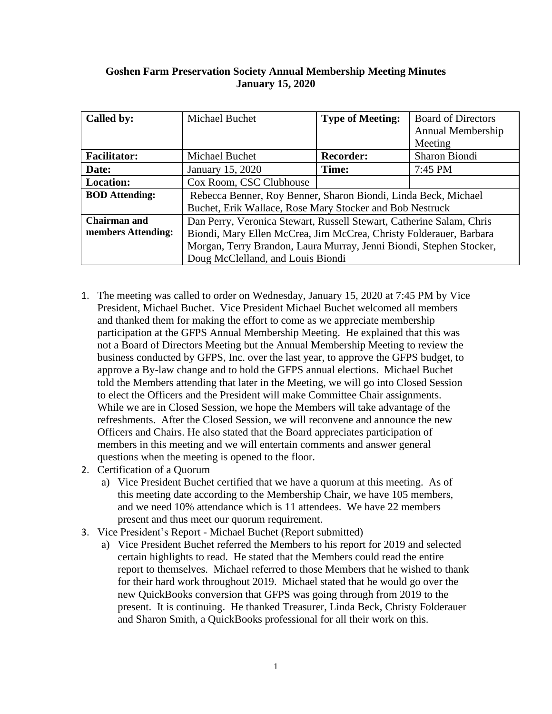## **Goshen Farm Preservation Society Annual Membership Meeting Minutes January 15, 2020**

| Called by:            | Michael Buchet                                                       | <b>Type of Meeting:</b> | <b>Board of Directors</b> |
|-----------------------|----------------------------------------------------------------------|-------------------------|---------------------------|
|                       |                                                                      |                         | Annual Membership         |
|                       |                                                                      |                         | Meeting                   |
| <b>Facilitator:</b>   | Michael Buchet                                                       | <b>Recorder:</b>        | Sharon Biondi             |
| Date:                 | January 15, 2020                                                     | Time:                   | 7:45 PM                   |
| <b>Location:</b>      | Cox Room, CSC Clubhouse                                              |                         |                           |
| <b>BOD</b> Attending: | Rebecca Benner, Roy Benner, Sharon Biondi, Linda Beck, Michael       |                         |                           |
|                       | Buchet, Erik Wallace, Rose Mary Stocker and Bob Nestruck             |                         |                           |
| <b>Chairman</b> and   | Dan Perry, Veronica Stewart, Russell Stewart, Catherine Salam, Chris |                         |                           |
| members Attending:    | Biondi, Mary Ellen McCrea, Jim McCrea, Christy Folderauer, Barbara   |                         |                           |
|                       | Morgan, Terry Brandon, Laura Murray, Jenni Biondi, Stephen Stocker,  |                         |                           |
|                       | Doug McClelland, and Louis Biondi                                    |                         |                           |

- 1. The meeting was called to order on Wednesday, January 15, 2020 at 7:45 PM by Vice President, Michael Buchet. Vice President Michael Buchet welcomed all members and thanked them for making the effort to come as we appreciate membership participation at the GFPS Annual Membership Meeting. He explained that this was not a Board of Directors Meeting but the Annual Membership Meeting to review the business conducted by GFPS, Inc. over the last year, to approve the GFPS budget, to approve a By-law change and to hold the GFPS annual elections. Michael Buchet told the Members attending that later in the Meeting, we will go into Closed Session to elect the Officers and the President will make Committee Chair assignments. While we are in Closed Session, we hope the Members will take advantage of the refreshments. After the Closed Session, we will reconvene and announce the new Officers and Chairs. He also stated that the Board appreciates participation of members in this meeting and we will entertain comments and answer general questions when the meeting is opened to the floor.
- 2. Certification of a Quorum
	- a) Vice President Buchet certified that we have a quorum at this meeting. As of this meeting date according to the Membership Chair, we have 105 members, and we need 10% attendance which is 11 attendees. We have 22 members present and thus meet our quorum requirement.
- 3. Vice President's Report Michael Buchet (Report submitted)
	- a) Vice President Buchet referred the Members to his report for 2019 and selected certain highlights to read. He stated that the Members could read the entire report to themselves. Michael referred to those Members that he wished to thank for their hard work throughout 2019. Michael stated that he would go over the new QuickBooks conversion that GFPS was going through from 2019 to the present. It is continuing. He thanked Treasurer, Linda Beck, Christy Folderauer and Sharon Smith, a QuickBooks professional for all their work on this.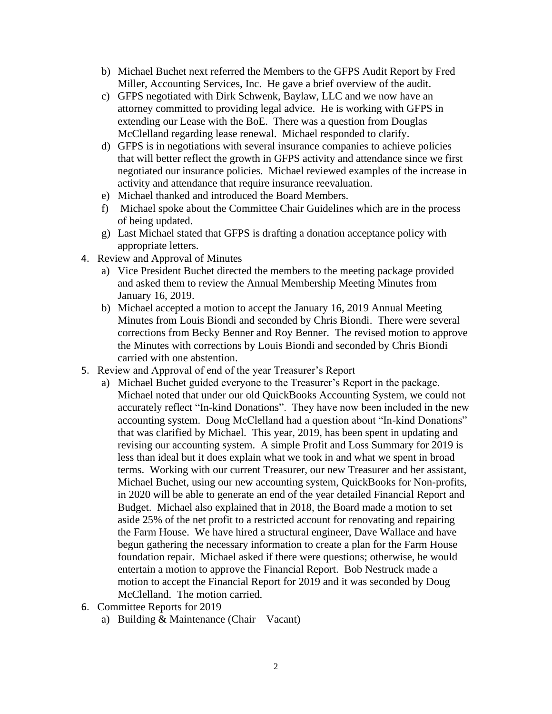- b) Michael Buchet next referred the Members to the GFPS Audit Report by Fred Miller, Accounting Services, Inc. He gave a brief overview of the audit.
- c) GFPS negotiated with Dirk Schwenk, Baylaw, LLC and we now have an attorney committed to providing legal advice. He is working with GFPS in extending our Lease with the BoE. There was a question from Douglas McClelland regarding lease renewal. Michael responded to clarify.
- d) GFPS is in negotiations with several insurance companies to achieve policies that will better reflect the growth in GFPS activity and attendance since we first negotiated our insurance policies. Michael reviewed examples of the increase in activity and attendance that require insurance reevaluation.
- e) Michael thanked and introduced the Board Members.
- f) Michael spoke about the Committee Chair Guidelines which are in the process of being updated.
- g) Last Michael stated that GFPS is drafting a donation acceptance policy with appropriate letters.
- 4. Review and Approval of Minutes
	- a) Vice President Buchet directed the members to the meeting package provided and asked them to review the Annual Membership Meeting Minutes from January 16, 2019.
	- b) Michael accepted a motion to accept the January 16, 2019 Annual Meeting Minutes from Louis Biondi and seconded by Chris Biondi. There were several corrections from Becky Benner and Roy Benner. The revised motion to approve the Minutes with corrections by Louis Biondi and seconded by Chris Biondi carried with one abstention.
- 5. Review and Approval of end of the year Treasurer's Report
	- a) Michael Buchet guided everyone to the Treasurer's Report in the package. Michael noted that under our old QuickBooks Accounting System, we could not accurately reflect "In-kind Donations". They have now been included in the new accounting system. Doug McClelland had a question about "In-kind Donations" that was clarified by Michael. This year, 2019, has been spent in updating and revising our accounting system. A simple Profit and Loss Summary for 2019 is less than ideal but it does explain what we took in and what we spent in broad terms. Working with our current Treasurer, our new Treasurer and her assistant, Michael Buchet, using our new accounting system, QuickBooks for Non-profits, in 2020 will be able to generate an end of the year detailed Financial Report and Budget. Michael also explained that in 2018, the Board made a motion to set aside 25% of the net profit to a restricted account for renovating and repairing the Farm House. We have hired a structural engineer, Dave Wallace and have begun gathering the necessary information to create a plan for the Farm House foundation repair. Michael asked if there were questions; otherwise, he would entertain a motion to approve the Financial Report. Bob Nestruck made a motion to accept the Financial Report for 2019 and it was seconded by Doug McClelland. The motion carried.
- 6. Committee Reports for 2019
	- a) Building & Maintenance (Chair Vacant)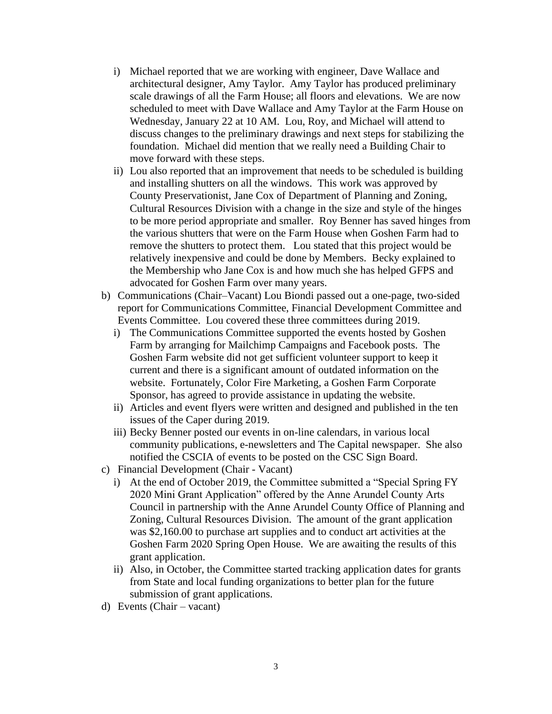- i) Michael reported that we are working with engineer, Dave Wallace and architectural designer, Amy Taylor. Amy Taylor has produced preliminary scale drawings of all the Farm House; all floors and elevations. We are now scheduled to meet with Dave Wallace and Amy Taylor at the Farm House on Wednesday, January 22 at 10 AM. Lou, Roy, and Michael will attend to discuss changes to the preliminary drawings and next steps for stabilizing the foundation. Michael did mention that we really need a Building Chair to move forward with these steps.
- ii) Lou also reported that an improvement that needs to be scheduled is building and installing shutters on all the windows. This work was approved by County Preservationist, Jane Cox of Department of Planning and Zoning, Cultural Resources Division with a change in the size and style of the hinges to be more period appropriate and smaller. Roy Benner has saved hinges from the various shutters that were on the Farm House when Goshen Farm had to remove the shutters to protect them. Lou stated that this project would be relatively inexpensive and could be done by Members. Becky explained to the Membership who Jane Cox is and how much she has helped GFPS and advocated for Goshen Farm over many years.
- b) Communications (Chair–Vacant) Lou Biondi passed out a one-page, two-sided report for Communications Committee, Financial Development Committee and Events Committee. Lou covered these three committees during 2019.
	- i) The Communications Committee supported the events hosted by Goshen Farm by arranging for Mailchimp Campaigns and Facebook posts. The Goshen Farm website did not get sufficient volunteer support to keep it current and there is a significant amount of outdated information on the website. Fortunately, Color Fire Marketing, a Goshen Farm Corporate Sponsor, has agreed to provide assistance in updating the website.
	- ii) Articles and event flyers were written and designed and published in the ten issues of the Caper during 2019.
	- iii) Becky Benner posted our events in on-line calendars, in various local community publications, e-newsletters and The Capital newspaper. She also notified the CSCIA of events to be posted on the CSC Sign Board.
- c) Financial Development (Chair Vacant)
	- i) At the end of October 2019, the Committee submitted a "Special Spring FY 2020 Mini Grant Application" offered by the Anne Arundel County Arts Council in partnership with the Anne Arundel County Office of Planning and Zoning, Cultural Resources Division. The amount of the grant application was \$2,160.00 to purchase art supplies and to conduct art activities at the Goshen Farm 2020 Spring Open House. We are awaiting the results of this grant application.
	- ii) Also, in October, the Committee started tracking application dates for grants from State and local funding organizations to better plan for the future submission of grant applications.
- d) Events (Chair vacant)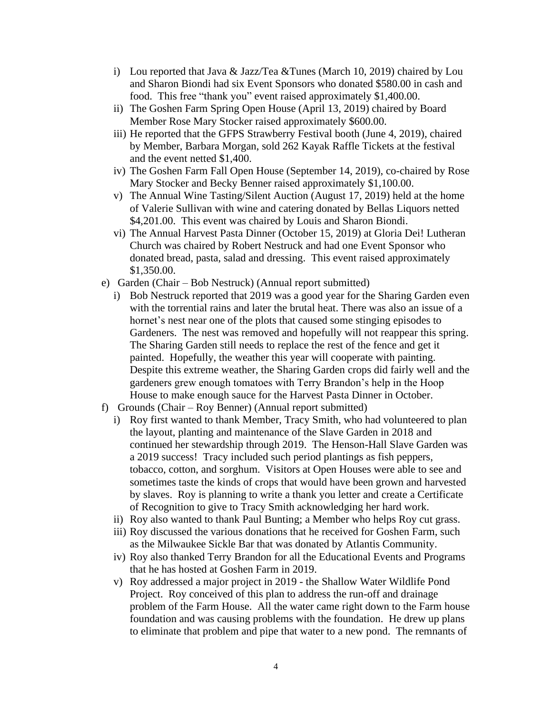- i) Lou reported that Java & Jazz/Tea &Tunes (March 10, 2019) chaired by Lou and Sharon Biondi had six Event Sponsors who donated \$580.00 in cash and food. This free "thank you" event raised approximately \$1,400.00.
- ii) The Goshen Farm Spring Open House (April 13, 2019) chaired by Board Member Rose Mary Stocker raised approximately \$600.00.
- iii) He reported that the GFPS Strawberry Festival booth (June 4, 2019), chaired by Member, Barbara Morgan, sold 262 Kayak Raffle Tickets at the festival and the event netted \$1,400.
- iv) The Goshen Farm Fall Open House (September 14, 2019), co-chaired by Rose Mary Stocker and Becky Benner raised approximately \$1,100.00.
- v) The Annual Wine Tasting/Silent Auction (August 17, 2019) held at the home of Valerie Sullivan with wine and catering donated by Bellas Liquors netted \$4,201.00. This event was chaired by Louis and Sharon Biondi.
- vi) The Annual Harvest Pasta Dinner (October 15, 2019) at Gloria Dei! Lutheran Church was chaired by Robert Nestruck and had one Event Sponsor who donated bread, pasta, salad and dressing. This event raised approximately \$1,350.00.
- e) Garden (Chair Bob Nestruck) (Annual report submitted)
	- i) Bob Nestruck reported that 2019 was a good year for the Sharing Garden even with the torrential rains and later the brutal heat. There was also an issue of a hornet's nest near one of the plots that caused some stinging episodes to Gardeners. The nest was removed and hopefully will not reappear this spring. The Sharing Garden still needs to replace the rest of the fence and get it painted. Hopefully, the weather this year will cooperate with painting. Despite this extreme weather, the Sharing Garden crops did fairly well and the gardeners grew enough tomatoes with Terry Brandon's help in the Hoop House to make enough sauce for the Harvest Pasta Dinner in October.
- f) Grounds (Chair Roy Benner) (Annual report submitted)
	- i) Roy first wanted to thank Member, Tracy Smith, who had volunteered to plan the layout, planting and maintenance of the Slave Garden in 2018 and continued her stewardship through 2019. The Henson-Hall Slave Garden was a 2019 success! Tracy included such period plantings as fish peppers, tobacco, cotton, and sorghum. Visitors at Open Houses were able to see and sometimes taste the kinds of crops that would have been grown and harvested by slaves. Roy is planning to write a thank you letter and create a Certificate of Recognition to give to Tracy Smith acknowledging her hard work.
	- ii) Roy also wanted to thank Paul Bunting; a Member who helps Roy cut grass.
	- iii) Roy discussed the various donations that he received for Goshen Farm, such as the Milwaukee Sickle Bar that was donated by Atlantis Community.
	- iv) Roy also thanked Terry Brandon for all the Educational Events and Programs that he has hosted at Goshen Farm in 2019.
	- v) Roy addressed a major project in 2019 the Shallow Water Wildlife Pond Project. Roy conceived of this plan to address the run-off and drainage problem of the Farm House. All the water came right down to the Farm house foundation and was causing problems with the foundation. He drew up plans to eliminate that problem and pipe that water to a new pond. The remnants of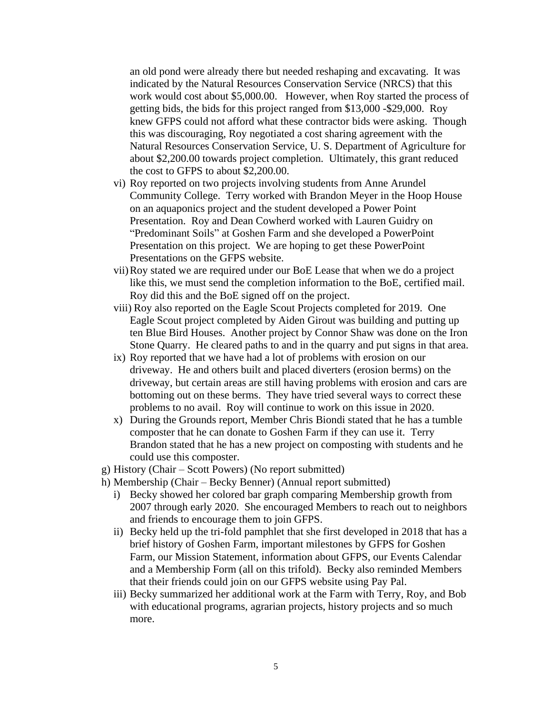an old pond were already there but needed reshaping and excavating. It was indicated by the Natural Resources Conservation Service (NRCS) that this work would cost about \$5,000.00. However, when Roy started the process of getting bids, the bids for this project ranged from \$13,000 -\$29,000. Roy knew GFPS could not afford what these contractor bids were asking. Though this was discouraging, Roy negotiated a cost sharing agreement with the Natural Resources Conservation Service, U. S. Department of Agriculture for about \$2,200.00 towards project completion. Ultimately, this grant reduced the cost to GFPS to about \$2,200.00.

- vi) Roy reported on two projects involving students from Anne Arundel Community College. Terry worked with Brandon Meyer in the Hoop House on an aquaponics project and the student developed a Power Point Presentation. Roy and Dean Cowherd worked with Lauren Guidry on "Predominant Soils" at Goshen Farm and she developed a PowerPoint Presentation on this project. We are hoping to get these PowerPoint Presentations on the GFPS website.
- vii)Roy stated we are required under our BoE Lease that when we do a project like this, we must send the completion information to the BoE, certified mail. Roy did this and the BoE signed off on the project.
- viii) Roy also reported on the Eagle Scout Projects completed for 2019. One Eagle Scout project completed by Aiden Girout was building and putting up ten Blue Bird Houses. Another project by Connor Shaw was done on the Iron Stone Quarry. He cleared paths to and in the quarry and put signs in that area.
- ix) Roy reported that we have had a lot of problems with erosion on our driveway. He and others built and placed diverters (erosion berms) on the driveway, but certain areas are still having problems with erosion and cars are bottoming out on these berms. They have tried several ways to correct these problems to no avail. Roy will continue to work on this issue in 2020.
- x) During the Grounds report, Member Chris Biondi stated that he has a tumble composter that he can donate to Goshen Farm if they can use it. Terry Brandon stated that he has a new project on composting with students and he could use this composter.
- g) History (Chair Scott Powers) (No report submitted)
- h) Membership (Chair Becky Benner) (Annual report submitted)
	- i) Becky showed her colored bar graph comparing Membership growth from 2007 through early 2020. She encouraged Members to reach out to neighbors and friends to encourage them to join GFPS.
	- ii) Becky held up the tri-fold pamphlet that she first developed in 2018 that has a brief history of Goshen Farm, important milestones by GFPS for Goshen Farm, our Mission Statement, information about GFPS, our Events Calendar and a Membership Form (all on this trifold). Becky also reminded Members that their friends could join on our GFPS website using Pay Pal.
	- iii) Becky summarized her additional work at the Farm with Terry, Roy, and Bob with educational programs, agrarian projects, history projects and so much more.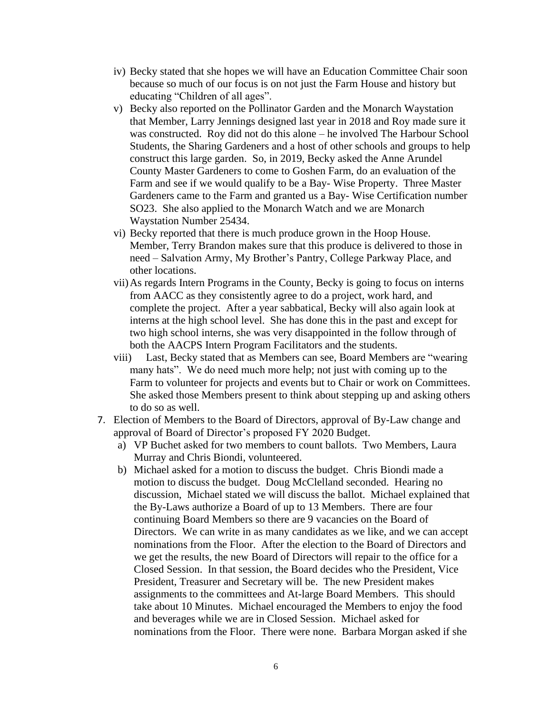- iv) Becky stated that she hopes we will have an Education Committee Chair soon because so much of our focus is on not just the Farm House and history but educating "Children of all ages".
- v) Becky also reported on the Pollinator Garden and the Monarch Waystation that Member, Larry Jennings designed last year in 2018 and Roy made sure it was constructed. Roy did not do this alone – he involved The Harbour School Students, the Sharing Gardeners and a host of other schools and groups to help construct this large garden. So, in 2019, Becky asked the Anne Arundel County Master Gardeners to come to Goshen Farm, do an evaluation of the Farm and see if we would qualify to be a Bay- Wise Property. Three Master Gardeners came to the Farm and granted us a Bay- Wise Certification number SO23. She also applied to the Monarch Watch and we are Monarch Waystation Number 25434.
- vi) Becky reported that there is much produce grown in the Hoop House. Member, Terry Brandon makes sure that this produce is delivered to those in need – Salvation Army, My Brother's Pantry, College Parkway Place, and other locations.
- vii)As regards Intern Programs in the County, Becky is going to focus on interns from AACC as they consistently agree to do a project, work hard, and complete the project. After a year sabbatical, Becky will also again look at interns at the high school level. She has done this in the past and except for two high school interns, she was very disappointed in the follow through of both the AACPS Intern Program Facilitators and the students.
- viii) Last, Becky stated that as Members can see, Board Members are "wearing many hats". We do need much more help; not just with coming up to the Farm to volunteer for projects and events but to Chair or work on Committees. She asked those Members present to think about stepping up and asking others to do so as well.
- 7. Election of Members to the Board of Directors, approval of By-Law change and approval of Board of Director's proposed FY 2020 Budget.
	- a) VP Buchet asked for two members to count ballots. Two Members, Laura Murray and Chris Biondi, volunteered.
	- b) Michael asked for a motion to discuss the budget. Chris Biondi made a motion to discuss the budget. Doug McClelland seconded. Hearing no discussion, Michael stated we will discuss the ballot. Michael explained that the By-Laws authorize a Board of up to 13 Members. There are four continuing Board Members so there are 9 vacancies on the Board of Directors. We can write in as many candidates as we like, and we can accept nominations from the Floor. After the election to the Board of Directors and we get the results, the new Board of Directors will repair to the office for a Closed Session. In that session, the Board decides who the President, Vice President, Treasurer and Secretary will be. The new President makes assignments to the committees and At-large Board Members. This should take about 10 Minutes. Michael encouraged the Members to enjoy the food and beverages while we are in Closed Session. Michael asked for nominations from the Floor. There were none. Barbara Morgan asked if she